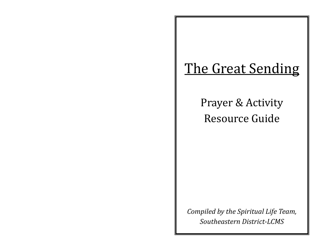# The Great Sending

Prayer & Activity Resource Guide

*Compiled by the Spiritual Life Team, Southeastern District-LCMS*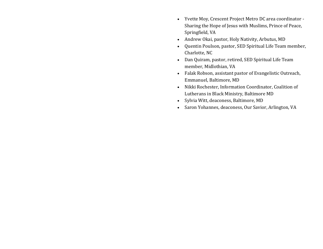- Yvette Moy, Crescent Project Metro DC area coordinator Sharing the Hope of Jesus with Muslims, Prince of Peace, Springfield, VA
- Andrew Okai, pastor, Holy Nativity, Arbutus, MD
- Quentin Poulson, pastor, SED Spiritual Life Team member, Charlotte, NC
- Dan Quiram, pastor, retired, SED Spiritual Life Team member, Midlothian, VA
- Falak Robson, assistant pastor of Evangelistic Outreach, Emmanuel, Baltimore, MD
- Nikki Rochester, Information Coordinator, Coalition of Lutherans in Black Ministry, Baltimore MD
- Sylvia Witt, deaconess, Baltimore, MD
- Saron Yohannes, deaconess, Our Savior, Arlington, VA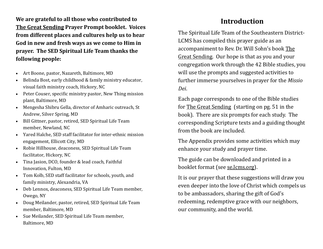**We are grateful to all those who contributed to The Great Sending Prayer Prompt booklet. Voices from different places and cultures help us to hear God in new and fresh ways as we come to Him in prayer. The SED Spiritual Life Team thanks the following people:**

- Art Boone, pastor, Nazareth, Baltimore, MD
- Belinda Bost, early childhood & family ministry educator, visual faith ministry coach, Hickory, NC
- Peter Couser, specific ministry pastor, New Thing mission plant, Baltimore, MD
- Mengesha Shibru Gella, director of Amharic outreach, St Andrew, Silver Spring, MD
- Bill Gittner, pastor, retired, SED Spiritual Life Team member, Newland, NC
- Yared Halche, SED staff facilitator for inter-ethnic mission engagement, Ellicott City, MD
- Robie Hillhouse, deaconess, SED Spiritual Life Team facilitator, Hickory, NC
- Tina Jasion, DCO, founder & lead coach, Faithful Innovation, Fulton, MD
- Tom Kolb, SED staff facilitator for schools, youth, and family ministry, Alexandria, VA
- Deb Lennox, deaconess, SED Spiritual Life Team member, Owego, NY
- Doug Meilander, pastor, retired, SED Spiritual Life Team member, Baltimore, MD
- Sue Meilander, SED Spiritual Life Team member, Baltimore, MD

# **Introduction**

The Spiritual Life Team of the Southeastern District-LCMS has compiled this prayer guide as an accompaniment to Rev. Dr. Will Sohn's book The Great Sending. Our hope is that as you and your congregation work through the 42 Bible studies, you will use the prompts and suggested activities to further immerse yourselves in prayer for the *Missio Dei*.

Each page corresponds to one of the Bible studies for The Great Sending (starting on pg. 51 in the book). There are six prompts for each study. The corresponding Scripture texts and a guiding thought from the book are included.

The Appendix provides some activities which may enhance your study and prayer time.

The guide can be downloaded and printed in a booklet format (see [se.lcms.org\).](se.lcms.org)

It is our prayer that these suggestions will draw you even deeper into the love of Christ which compels us to be ambassadors, sharing the gift of God's redeeming, redemptive grace with our neighbors, our community, and the world.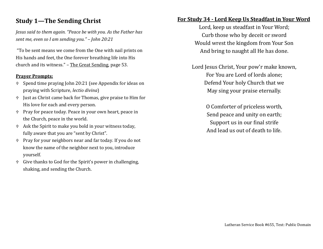### **Study 1—The Sending Christ**

*Jesus said to them again. "Peace be with you. As the Father has sent me, even so I am sending you." – John 20:21*

"To be sent means we come from the One with nail prints on His hands and feet, the One forever breathing life into His church and its witness." – The Great Sending, page 53.

#### **Prayer Prompts:**

- Spend time praying John 20:21 (see Appendix for ideas on praying with Scripture, *lectio divina*)
- Just as Christ came back for Thomas, give praise to Him for His love for each and every person.
- Pray for peace today. Peace in your own heart, peace in the Church, peace in the world.
- Ask the Spirit to make you bold in your witness today, fully aware that you are "sent by Christ".
- Pray for your neighbors near and far today. If you do not know the name of the neighbor next to you, introduce yourself.
- Give thanks to God for the Spirit's power in challenging, shaking, and sending the Church.

### **For Study 34 - Lord Keep Us Steadfast in Your Word**

Lord, keep us steadfast in Your Word; Curb those who by deceit or sword Would wrest the kingdom from Your Son And bring to naught all He has done.

Lord Jesus Christ, Your pow'r make known, For You are Lord of lords alone; Defend Your holy Church that we May sing your praise eternally.

> O Comforter of priceless worth, Send peace and unity on earth; Support us in our final strife And lead us out of death to life.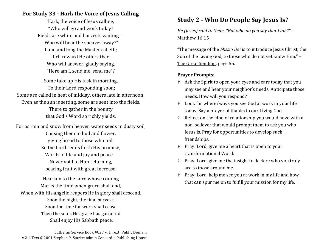### **For Study 33 - Hark the Voice of Jesus Calling**

Hark, the voice of Jesus calling, "Who will go and work today? Fields are white and harvests waiting— Who will bear the sheaves away?" Loud and long the Master calleth; Rich reward He offers thee. Who will answer, gladly saying, "Here am I, send me, send me"?

Some take up His task in morning, To their Lord responding soon; Some are called in heat of midday, others late in afternoon; Even as the sun is setting, some are sent into the fields, There to gather in the bounty that God's Word so richly yields.

For as rain and snow from heaven water seeds in dusty soil, Causing them to bud and flower, giving bread to those who toil; So the Lord sends forth His promise, Words of life and joy and peace— Never void to Him returning, bearing fruit with great increase.

Hearken to the Lord whose coming Marks the time when grace shall end, When with His angelic reapers He in glory shall descend. Soon the night, the final harvest; Soon the time for work shall cease. Then the souls His grace has garnered Shall enjoy His Sabbath peace.

### **Study 2 - Who Do People Say Jesus Is?**

*He (Jesus) said to them, "But who do you say that I am?"* – Matthew 16:15

"The message of the *Missio Dei* is to introduce Jesus Christ, the Son of the Living God, to those who do not yet know Him." – The Great Sending, page 55.

- Ask the Spirit to open your eyes and ears today that you may see and hear your neighbor's needs. Anticipate those needs. How will you respond?
- Look for where/ways you see God at work in your life today. Say a prayer of thanks to our Living God.
- $\textdegree$  Reflect on the kind of relationship you would have with a non-believer that would prompt them to ask you who Jesus is. Pray for opportunities to develop such friendships.
- Pray: Lord, give me a heart that is open to your transformational Word.
- Pray: Lord, give me the insight to declare who you truly are to those around me.
- Pray: Lord, help me see you at work in my life and how that can spur me on to fulfill your mission for my life.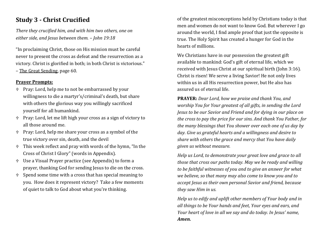### **Study 3 - Christ Crucified**

*There they crucified him, and with him two others, one on either side, and Jesus between them. – John 19:18*

"In proclaiming Christ, those on His mission must be careful never to present the cross as defeat and the resurrection as a victory. Christ is glorified in both; in both Christ is victorious." – The Great Sending, page 60.

#### **Prayer Prompts:**

- Pray: Lord, help me to not be embarrassed by your willingness to die a martyr's/criminal's death, but share with others the glorious way you willingly sacrificed yourself for all humankind.
- Pray: Lord, let me lift high your cross as a sign of victory to all those around me.
- Pray: Lord, help me share your cross as a symbol of the true victory over sin, death, and the devil
- This week reflect and pray with words of the hymn, "In the Cross of Christ I Glory" (words in Appendix).
- Use a Visual Prayer practice (see Appendix) to form a prayer, thanking God for sending Jesus to die on the cross.
- $\uparrow$  Spend some time with a cross that has special meaning to you. How does it represent victory? Take a few moments of quiet to talk to God about what you're thinking.

of the greatest misconceptions held by Christians today is that men and women do not want to know God. But wherever I go around the world, I find ample proof that just the opposite is true. The Holy Spirit has created a hunger for God in the hearts of millions.

We Christians have in our possession the greatest gift available to mankind: God's gift of eternal life, which we received with Jesus Christ at our spiritual birth (John 3:16). Christ is risen! We serve a living Savior! He not only lives within us in all His resurrection power, but He also has assured us of eternal life.

**PRAYER:** *Dear Lord, how we praise and thank You, and worship You for Your greatest of all gifts, in sending the Lord Jesus to be our Savior and Friend and for dying in our place on the cross to pay the price for our sins. And thank You Father, for the many blessings that You shower over each one of us day by day. Give us grateful hearts and a willingness and desire to share with others the grace and mercy that You have daily given us without measure.*

*Help us Lord, to demonstrate your great love and grace to all those that cross our paths today. May we be ready and willing to be faithful witnesses of you and to give an answer for what we believe, so that many may also come to know you and to accept Jesus as their own personal Savior and friend, because they saw Him in us.*

*Help us to edify and uplift other members of Your body and in all things to be Your hands and feet, Your eyes and ears, and Your heart of love in all we say and do today. In Jesus' name, Amen.*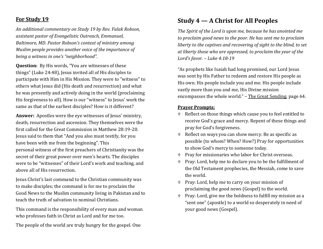#### **For Study 19**

*An additional commentary on Study 19 by Rev. Falak Robson, assistant pastor of Evangelistic Outreach, Emmanuel, Baltimore, MD. Pastor Robson's context of ministry among Muslim people provides another voice of the importance of being a witness in one's "neighborhood".*

**Question:** By His words, "You are witnesses of these things" (Luke 24:48), Jesus invited all of His disciples to participate with Him in His Mission. They were to "witness" to others what Jesus did (His death and resurrection) and what he was presently and actively doing in the world (proclaiming His forgiveness to all). How is our "witness" to Jesus' work the same as that of the earliest disciples? How is it different?

**Answer:** Apostles were the eye witnesses of Jesus' ministry, death, resurrection and ascension. They themselves were the first called for the Great Commission in Matthew 28:19-20. Jesus said to them that "And you also must testify, for you have been with me from the beginning". This personal witness of the first preachers of Christianity was the secret of their great power over men's hearts. The disciples were to be "witnesses" of their Lord's work and teaching, and above all of His resurrection.

Jesus Christ's last command to the Christian community was to make disciples; the command is for me to proclaim the Good News to the Muslim community living in Pakistan and to teach the truth of salvation to nominal Christians.

This command is the responsibility of every man and woman who professes faith in Christ as Lord and for me too.

The people of the world are truly hungry for the gospel. One

### **Study 4 — A Christ for All Peoples**

*The Spirit of the Lord is upon me, because he has anointed me to proclaim good news to the poor. He has sent me to proclaim liberty to the captives and recovering of sight to the blind, to set at liberty those who are oppressed, to proclaim the year of the Lord's favor. – Luke 4:18-19*

"As prophets like Isaiah had long promised, our Lord Jesus was sent by His Father to redeem and restore His people as His own. His people include you and me. His people include vastly more than you and me, His Divine mission encompasses the whole world." – The Great Sending, page 64.

- Reflect on those things which cause you to feel entitled to receive God's grace and mercy. Repent of these things and pray for God's forgiveness.
- Reflect on ways you can show mercy. Be as specific as possible (to whom? When? How?) Pray for opportunities to show God's mercy to someone today.
- Pray for missionaries who labor for Christ overseas.
- Pray: Lord, help me to declare you to be the fulfillment of the Old Testament prophecies, the Messiah, come to save the world.
- Pray: Lord, help me to carry on your mission of proclaiming the good news (Gospel) to the world.
- Pray: Lord, give me the boldness to fulfill my mission as a "sent one" (apostle) to a world so desperately in need of your good news (Gospel).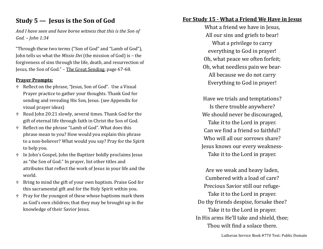### **Study 5 — Jesus is the Son of God**

*And I have seen and have borne witness that this is the Son of God. – John 1:34*

"Through these two terms ("Son of God" and "Lamb of God"), John tells us what the *Missio Dei* (the mission of God) is – the forgiveness of sins through the life, death, and resurrection of Jesus, the Son of God." – The Great Sending, page 67-68.

#### **Prayer Prompts:**

- Reflect on the phrase, "Jesus, Son of God". Use a Visual Prayer practice to gather your thoughts. Thank God for sending and revealing His Son, Jesus. (see Appendix for visual prayer ideas)
- Read John 20:21 slowly, several times. Thank God for the gift of eternal life through faith in Christ the Son of God.
- Reflect on the phrase "Lamb of God". What does this phrase mean to you? How would you explain this phrase to a non-believer? What would you say? Pray for the Spirit to help you.
- In John's Gospel, John the Baptizer boldly proclaims Jesus as "the Son of God." In prayer, list other titles and attributes that reflect the work of Jesus in your life and the world.
- Bring to mind the gift of your own baptism. Praise God for this sacramental gift and for the Holy Spirit within you.
- $\uparrow$  Pray for the youngest of these whose baptisms mark them as God's own children; that they may be brought up in the knowledge of their Savior Jesus.

### **For Study 15 - What a Friend We Have in Jesus**

What a friend we have in Jesus, All our sins and griefs to bear! What a privilege to carry everything to God in prayer! Oh, what peace we often forfeit; Oh, what needless pain we bear-All because we do not carry Everything to God in prayer!

Have we trials and temptations? Is there trouble anywhere? We should never be discouraged, Take it to the Lord in prayer. Can we find a friend so faithful? Who will all our sorrows share? Jesus knows our every weakness-Take it to the Lord in prayer.

Are we weak and heavy laden, Cumbered with a load of care? Precious Savior still our refuge-Take it to the Lord in prayer. Do thy friends despise, forsake thee? Take it to the Lord in prayer. In His arms He'll take and shield, thee; Thou wilt find a solace there.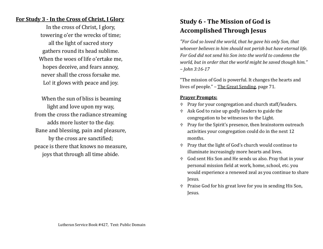#### **For Study 3 - In the Cross of Christ, I Glory**

In the cross of Christ, I glory, towering o'er the wrecks of time; all the light of sacred story gathers round its head sublime. When the woes of life o'ertake me, hopes deceive, and fears annoy, never shall the cross forsake me. Lo! it glows with peace and joy.

When the sun of bliss is beaming light and love upon my way, from the cross the radiance streaming adds more luster to the day. Bane and blessing, pain and pleasure, by the cross are sanctified; peace is there that knows no measure, joys that through all time abide.

# **Study 6 - The Mission of God is Accomplished Through Jesus**

*"For God so loved the world, that he gave his only Son, that whoever believes in him should not perish but have eternal life. For God did not send his Son into the world to condemn the world, but in order that the world might be saved though him." – John 3:16-17*

"The mission of God is powerful. It changes the hearts and lives of people." – The Great Sending, page 71.

- Pray for your congregation and church staff/leaders.
- Ask God to raise up godly leaders to guide the congregation to be witnesses to the Light.
- Pray for the Spirit's presence, then brainstorm outreach activities your congregation could do in the next 12 months.
- Pray that the light of God's church would continue to illuminate increasingly more hearts and lives.
- God sent His Son and He sends us also. Pray that in your personal mission field at work, home, school, etc. you would experience a renewed zeal as you continue to share Jesus.
- Praise God for his great love for you in sending His Son, Jesus.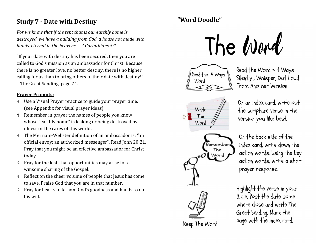### **Study 7 - Date with Destiny**

*For we know that if the tent that is our earthly home is destroyed, we have a building from God, a house not made with hands, eternal in the heavens. – 2 Corinthians 5:1*

"If your date with destiny has been secured, then you are called to God's mission as an ambassador for Christ. Because there is no greater love, no better destiny, there is no higher calling for us than to bring others to their date with destiny!" – The Great Sending, page 74.

#### **Prayer Prompts:**

- Use a Visual Prayer practice to guide your prayer time. (see Appendix for visual prayer ideas)
- Remember in prayer the names of people you know whose "earthly home" is leaking or being destroyed by illness or the cares of this world.
- The Merriam-Webster definition of an ambassador is: "an official envoy; an authorized messenger". Read John 20:21. Pray that you might be an effective ambassador for Christ today.
- $\uparrow$  Pray for the lost, that opportunities may arise for a winsome sharing of the Gospel.
- Reflect on the sheer volume of people that Jesus has come to save. Praise God that you are in that number.
- Pray for hearts to fathom God's goodness and hands to do his will.

# **"Word Doodle"**





Read the Word > 4 Ways Silently, Whisper, Out Loud From Another Version



On an index card, write out the scripture verse in the version you like best.



On the back side of the index card, write down the action words. Using the key action words, write a short prayer response.

Highlight the verse in your Bible Post the date some where close and write The Great Sending. Mark the page with the index card.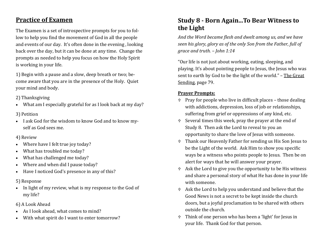### **Practice of Examen**

The Examen is a set of introspective prompts for you to follow to help you find the movement of God in all the people and events of our day. It's often done in the evening , looking back over the day, but it can be done at any time. Change the prompts as needed to help you focus on how the Holy Spirit is working in your life.

1) Begin with a pause and a slow, deep breath or two; become aware that you are in the presence of the Holy. Quiet your mind and body.

2) Thanksgiving

• What am I especially grateful for as I look back at my day?

#### 3) Petition

• I ask God for the wisdom to know God and to know myself as God sees me.

#### 4) Review

- Where have I felt true joy today?
- What has troubled me today?
- What has challenged me today?
- Where and when did I pause today?
- Have I noticed God's presence in any of this?

### 5) Response

- In light of my review, what is my response to the God of my life?
- 6) A Look Ahead
- As I look ahead, what comes to mind?
- With what spirit do I want to enter tomorrow?

### **Study 8 - Born Again...To Bear Witness to the Light**

*And the Word became flesh and dwelt among us, and we have seen his glory, glory as of the only Son from the Father, full of grace and truth. – John 1:14*

"Our life is not just about working, eating, sleeping, and playing. It's about pointing people to Jesus, the Jesus who was sent to earth by God to be the light of the world." – The Great Sending, page 79.

- $\uparrow$  Pray for people who live in difficult places those dealing with addictions, depression, loss of job or relationships, suffering from grief or oppressions of any kind, etc.
- Several times this week, pray the prayer at the end of Study 8. Then ask the Lord to reveal to you an opportunity to share the love of Jesus with someone.
- Thank our Heavenly Father for sending us His Son Jesus to be the Light of the world. Ask Him to show you specific ways be a witness who points people to Jesus. Then be on alert for ways that he will answer your prayer.
- Ask the Lord to give you the opportunity to be His witness and share a personal story of what He has done in your life with someone.
- Ask the Lord to help you understand and believe that the Good News is not a secret to be kept inside the church doors, but a joyful proclamation to be shared with others outside the church.
- Think of one person who has been a 'light' for Jesus in your life. Thank God for that person.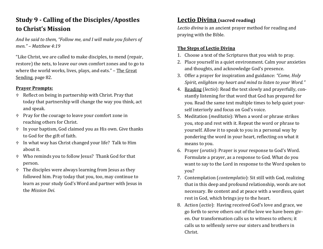# **Study 9 - Calling of the Disciples/Apostles to Christ's Mission**

*And he said to them, "Follow me, and I will make you fishers of men." – Matthew 4:19*

"Like Christ, we are called to make disciples, to mend (repair, restore) the nets, to leave our own comfort zones and to go to where the world works, lives, plays, and eats." – The Great Sending, page 82.

#### **Prayer Prompts:**

- Reflect on being in partnership with Christ. Pray that today that partnership will change the way you think, act and speak.
- Pray for the courage to leave your comfort zone in reaching others for Christ.
- In your baptism, God claimed you as His own. Give thanks to God for the gift of faith.
- In what way has Christ changed your life? Talk to Him about it.
- Who reminds you to follow Jesus? Thank God for that person.
- The disciples were always learning from Jesus as they followed him. Pray today that you, too, may continue to learn as your study God's Word and partner with Jesus in the *Mission Dei*.

### **Lectio Divina (sacred reading)**

*Lectio divina* is an ancient prayer method for reading and praying with the Bible.

#### **The Steps of Lectio Divina**

- 1. Choose a text of the Scriptures that you wish to pray.
- 2. Place yourself in a quiet environment. Calm your anxieties and thoughts, and acknowledge God's presence.
- 3. Offer a prayer for inspiration and guidance: *"Come, Holy Spirit, enlighten my heart and mind to listen to your Word."*
- 4. Reading (*lectio*): Read the text slowly and prayerfully, constantly listening for that word that God has prepared for you. Read the same text multiple times to help quiet yourself interiorly and focus on God's voice.
- 5. Meditation (*meditatio*): When a word or phrase strikes you, stop and rest with it. Repeat the word or phrase to yourself. Allow it to speak to you in a personal way by pondering the word in your heart, reflecting on what it means to you.
- 6. Prayer (*oratio*): Prayer is your response to God's Word. Formulate a prayer, as a response to God. What do you want to say to the Lord in response to the Word spoken to you?
- 7. Contemplation (*contemplatio*): Sit still with God, realizing that in this deep and profound relationship, words are not necessary. Be content and at peace with a wordless, quiet rest in God, which brings joy to the heart.
- 8. Action (*actio*): Having received God's love and grace, we go forth to serve others out of the love we have been given. Our transformation calls us to witness to others; it calls us to selflessly serve our sisters and brothers in Christ.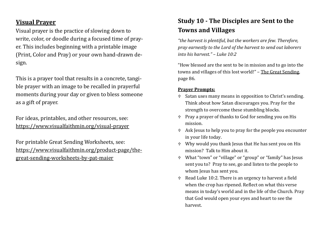### **Visual Prayer**

Visual prayer is the practice of slowing down to write, color, or doodle during a focused time of prayer. This includes beginning with a printable image (Print, Color and Pray) or your own hand-drawn design.

This is a prayer tool that results in a concrete, tangible prayer with an image to be recalled in prayerful moments during your day or given to bless someone as a gift of prayer.

For ideas, printables, and other resources, see: [https://www.visualfaithmin.org/visual](https://www.visualfaithmin.org/visual-prayer)-prayer

For printable Great Sending Worksheets, see: [https://www.visualfaithmin.org/product](https://www.visualfaithmin.org/product-page/the-great-sending-worksheets-by-pat-maier)-page/thegreat-sending-[worksheets](https://www.visualfaithmin.org/product-page/the-great-sending-worksheets-by-pat-maier)-by-pat-maier

# **Study 10 - The Disciples are Sent to the Towns and Villages**

*"the harvest is plentiful, but the workers are few. Therefore, pray earnestly to the Lord of the harvest to send out laborers into his harvest." – Luke 10:2*

"How blessed are the sent to be in mission and to go into the towns and villages of this lost world!" – The Great Sending, page 86.

- Satan uses many means in opposition to Christ's sending. Think about how Satan discourages you. Pray for the strength to overcome these stumbling blocks.
- Pray a prayer of thanks to God for sending you on His mission.
- Ask Jesus to help you to pray for the people you encounter in your life today.
- Why would you thank Jesus that He has sent you on His mission? Talk to Him about it.
- What "town" or "village" or "group" or "family" has Jesus sent you to? Pray to see, go and listen to the people to whom Jesus has sent you.
- Read Luke 10:2. There is an urgency to harvest a field when the crop has ripened. Reflect on what this verse means in today's world and in the life of the Church. Pray that God would open your eyes and heart to see the harvest.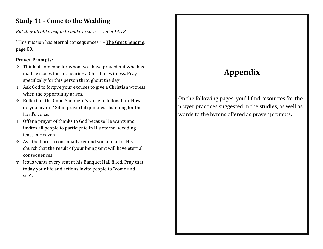### **Study 11 - Come to the Wedding**

*But they all alike began to make excuses. – Luke 14:18*

"This mission has eternal consequences." – The Great Sending, page 89.

#### **Prayer Prompts:**

- $\oplus$  Think of someone for whom you have prayed but who has made excuses for not hearing a Christian witness. Pray specifically for this person throughout the day.
- Ask God to forgive your excuses to give a Christian witness when the opportunity arises.
- Reflect on the Good Shepherd's voice to follow him. How do you hear it? Sit in prayerful quietness listening for the Lord's voice.
- Offer a prayer of thanks to God because He wants and invites all people to participate in His eternal wedding feast in Heaven.
- Ask the Lord to continually remind you and all of His church that the result of your being sent will have eternal consequences.
- Jesus wants every seat at his Banquet Hall filled. Pray that today your life and actions invite people to "come and see".

# **Appendix**

On the following pages, you'll find resources for the prayer practices suggested in the studies, as well as words to the hymns offered as prayer prompts.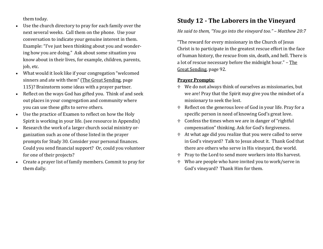them today.

- Use the church directory to pray for each family over the next several weeks. Call them on the phone. Use your conversation to indicate your genuine interest in them. Example: "I've just been thinking about you and wondering how you are doing." Ask about some situation you know about in their lives, for example, children, parents, job, etc.
- What would it look like if your congregation "welcomed sinners and ate with them" (The Great Sending, page 115)? Brainstorm some ideas with a prayer partner.
- Reflect on the ways God has gifted you. Think of and seek out places in your congregation and community where you can use these gifts to serve others.
- Use the practice of Examen to reflect on how the Holy Spirit is working in your life. (see resource in Appendix)
- Research the work of a larger church social ministry organization such as one of those listed in the prayer prompts for Study 30. Consider your personal finances. Could you send financial support? Or, could you volunteer for one of their projects?
- Create a prayer list of family members. Commit to pray for them daily.

### **Study 12 - The Laborers in the Vineyard**

#### *He said to them, "You go into the vineyard too." – Matthew 20:7*

"The reward for every missionary in the Church of Jesus Christ is to participate in the greatest rescue effort in the face of human history, the rescue from sin, death, and hell. There is a lot of rescue necessary before the midnight hour." – The Great Sending, page 92.

- We do not always think of ourselves as missionaries, but we are! Pray that the Spirit may give you the mindset of a missionary to seek the lost.
- Reflect on the generous love of God in your life. Pray for a specific person in need of knowing God's great love.
- Confess the times when we are in danger of "rightful compensation" thinking. Ask for God's forgiveness.
- At what age did you realize that you were called to serve in God's vineyard? Talk to Jesus about it. Thank God that there are others who serve in His vineyard, the world.
- $\uparrow$  Pray to the Lord to send more workers into His harvest.
- Who are people who have invited you to work/serve in God's vineyard? Thank Him for them.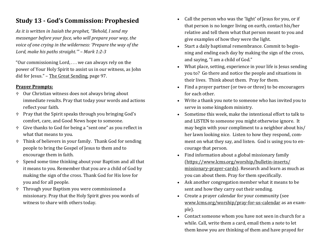### **Study 13 - God's Commission: Prophesied**

*As it is written in Isaiah the prophet, "Behold, I send my messenger before your face, who will prepare your way, the voice of one crying in the wilderness: 'Prepare the way of the Lord, make his paths straight.'" – Mark 1:2-3*

"Our commissioning Lord, . . . we can always rely on the power of Your Holy Spirit to assist us in our witness, as John did for Jesus." – The Great Sending, page 97.

- Our Christian witness does not always bring about immediate results. Pray that today your words and actions reflect your faith.
- Pray that the Spirit speaks through you bringing God's comfort, care, and Good News hope to someone.
- Give thanks to God for being a "sent one" as you reflect in what that means to you.
- Think of believers in your family. Thank God for sending people to bring the Gospel of Jesus to them and to encourage them in faith.
- Spend some time thinking about your Baptism and all that it means to you. Remember that you are a child of God by making the sign of the cross. Thank God for His love for you and for all people.
- Through your Baptism you were commissioned a missionary. Pray that the Holy Spirit gives you words of witness to share with others today.
- Call the person who was the 'light' of Jesus for you, or if that person is no longer living on earth, contact his/her relative and tell them what that person meant to you and give examples of how they were the light.
- Start a daily baptismal remembrance. Commit to beginning and ending each day by making the sign of the cross, and saying, "I am a child of God."
- What place, setting, experience in your life is Jesus sending you to? Go there and notice the people and situations in their lives. Think about them. Pray for them.
- Find a prayer partner (or two or three) to be encouragers for each other.
- Write a thank you note to someone who has invited you to serve in some kingdom ministry.
- Sometime this week, make the intentional effort to talk to and LISTEN to someone you might otherwise ignore. It may begin with your compliment to a neighbor about his/ her lawn looking nice. Listen to how they respond, comment on what they say, and listen. God is using you to encourage that person.
- Find information about a global missionary family ([https://www.lcms.org/worship/bulletin](https://www.lcms.org/worship/bulletin-inserts/missionary-prayer-cards)-inserts/ [missionary](https://www.lcms.org/worship/bulletin-inserts/missionary-prayer-cards)-prayer-cards). Research and learn as much as you can about them. Pray for them specifically.
- Ask another congregation member what it means to be sent and how they carry out their sending.
- Create a prayer calendar for your community (see [www.lcms.org/worship/pray](http://www.lcms.org/worship/pray-for-us-calendar)-for-us-calendar as an example).
- Contact someone whom you have not seen in church for a while. Call, write them a card, email them a note to let them know you are thinking of them and have prayed for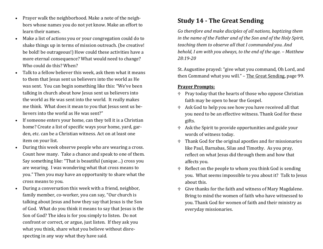- Prayer walk the neighborhood. Make a note of the neighbors whose names you do not yet know. Make an effort to learn their names.
- Make a list of actions you or your congregation could do to shake things up in terms of mission outreach. (be creative! be bold! be outrageous!) How could these activities have a more eternal consequence? What would need to change? Who could do this? When?
- Talk to a fellow believer this week, ask them what it means to them that Jesus sent us believers into the world as He was sent. You can begin something like this: "We've been talking in church about how Jesus sent us believers into the world as He was sent into the world. It really makes me think. What does it mean to you that Jesus sent us believers into the world as He was sent?"
- If someone enters your home, can they tell it is a Christian home? Create a list of specific ways your home, yard, garden, etc. can be a Christian witness. Act on at least one item on your list.
- During this week observe people who are wearing a cross. Count how many. Take a chance and speak to one of them. Say something like: "That is beautiful (unique…) cross you are wearing. I was wondering what that cross means to you." Then you may have an opportunity to share what the cross means to you.
- During a conversation this week with a friend, neighbor, family member, co-worker, you can say, "Our church is talking about Jesus and how they say that Jesus is the Son of God. What do you think it means to say that Jesus is the Son of God? The idea is for you simply to listen. Do not confront or correct, or argue, just listen. If they ask you what you think, share what you believe without disrespecting in any way what they have said.

### **Study 14 - The Great Sending**

*Go therefore and make disciples of all nations, baptizing them in the name of the Father and of the Son and of the Holy Spirit, teaching them to observe all that I commanded you. And behold, I am with you always, to the end of the age. – Matthew 28:19-20*

St. Augustine prayed: "give what you command, Oh Lord, and then Command what you will." – The Great Sending, page 99.

- $\oplus$  Pray today that the hearts of those who oppose Christian faith may be open to hear the Gospel.
- Ask God to help you see how you have received all that you need to be an effective witness. Thank God for these gifts.
- Ask the Spirit to provide opportunities and guide your words of witness today.
- Thank God for the original apostles and for missionaries like Paul, Barnabas, Silas and Timothy. As you pray, reflect on what Jesus did through them and how that affects you.
- $\oplus$  Reflect on the people to whom you think God is sending you. What seems impossible to you about it? Talk to Jesus about this.
- Give thanks for the faith and witness of Mary Magdalene. Bring to mind the women of faith who have witnessed to you. Thank God for women of faith and their ministry as everyday missionaries.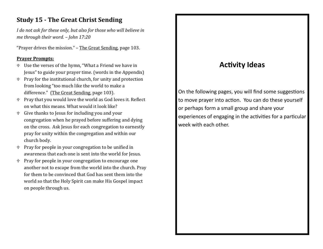### **Study 15 - The Great Christ Sending**

*I do not ask for these only, but also for those who will believe in me through their word. – John 17:20*

"Prayer drives the mission." – The Great Sending, page 103.

#### **Prayer Prompts:**

- Use the verses of the hymn, "What a Friend we have in Jesus" to guide your prayer time. (words in the Appendix)
- $\uparrow$  Pray for the institutional church, for unity and protection from looking "too much like the world to make a difference." (The Great Sending, page 103).
- Pray that you would love the world as God loves it. Reflect on what this means. What would it look like?
- Give thanks to Jesus for including you and your congregation when he prayed before suffering and dying on the cross. Ask Jesus for each congregation to earnestly pray for unity within the congregation and within our church body.
- Pray for people in your congregation to be unified in awareness that each one is sent into the world for Jesus.
- Pray for people in your congregation to encourage one another not to escape from the world into the church. Pray for them to be convinced that God has sent them into the world so that the Holy Spirit can make His Gospel impact on people through us.

# **Activity Ideas**

On the following pages, you will find some suggestions to move prayer into action. You can do these yourself or perhaps form a small group and share your experiences of engaging in the activities for a particular week with each other.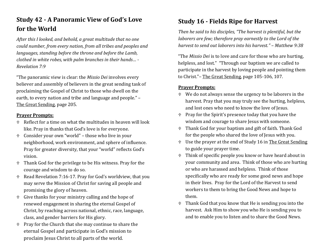### **Study 42 - A Panoramic View of God's Love for the World**

*After this I looked, and behold, a great multitude that no one could number, from every nation, from all tribes and peoples and languages, standing before the throne and before the Lamb, clothed in white robes, with palm branches in their hands… - Revelation 7:9*

"The panoramic view is clear: the *Missio Dei* involves every believer and assembly of believers in the great sending task of proclaiming the Gospel of Christ to those who dwell on the earth, to every nation and tribe and language and people." – The Great Sending, page 205.

#### **Prayer Prompts:**

- Reflect for a time on what the multitudes in heaven will look like. Pray in thanks that God's love is for everyone.
- Consider your own "world" those who live in your neighborhood, work environment, and sphere of influence. Pray for greater diversity, that your "world" reflects God's vision.
- Thank God for the privilege to be His witness. Pray for the courage and wisdom to do so.
- Read Revelation 7:16-17. Pray for God's worldview, that you may serve the Mission of Christ for saving all people and promising the glory of heaven.
- Give thanks for your ministry calling and the hope of renewed engagement in sharing the eternal Gospel of Christ, by reaching across national, ethnic, race, language, class, and gender barriers for His glory.
- Pray for the Church that she may continue to share the eternal Gospel and participate in God's mission to proclaim Jesus Christ to all parts of the world.

### **Study 16 - Fields Ripe for Harvest**

*Then he said to his disciples, "The harvest is plentiful, but the laborers are few; therefore pray earnestly to the Lord of the harvest to send out laborers into his harvest." – Matthew 9:38*

"The *Missio Dei* is to love and care for those who are hurting, helpless, and lost." "Through our baptism we are called to participate in the harvest by loving people and pointing them to Christ."– The Great Sending, page 105-106, 107.

- We do not always sense the urgency to be laborers in the harvest. Pray that you may truly see the hurting, helpless, and lost ones who need to know the love of Jesus.
- Pray for the Spirit's presence today that you have the wisdom and courage to share Jesus with someone.
- Thank God for your baptism and gift of faith. Thank God for the people who shared the love of Jesus with you.
- Use the prayer at the end of Study 16 in The Great Sending to guide your prayer time.
- Think of specific people you know or have heard about in your community and area. Think of those who are hurting or who are harassed and helpless. Think of those specifically who are ready for some good news and hope in their lives. Pray for the Lord of the Harvest to send workers to them to bring the Good News and hope to them.
- Thank God that you know that He is sending you into the harvest. Ask Him to show you who He is sending you to and to enable you to listen and to share the Good News.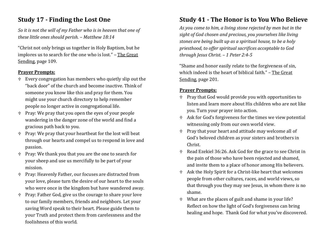### **Study 17 - Finding the Lost One**

*So it is not the will of my Father who is in heaven that one of these little ones should perish. – Matthew 18:14*

"Christ not only brings us together in Holy Baptism, but he implores us to search for the one who is lost." – The Great Sending, page 109.

#### **Prayer Prompts:**

- Every congregation has members who quietly slip out the "back door" of the church and become inactive. Think of someone you know like this and pray for them. You might use your church directory to help remember people no longer active in congregational life.
- Pray: We pray that you open the eyes of your people wandering in the danger zone of the world and find a gracious path back to you.
- Pray: We pray that your heartbeat for the lost will beat through our hearts and compel us to respond in love and passion.
- Pray: We thank you that you are the one to search for your sheep and use us mercifully to be part of your mission.
- Pray: Heavenly Father, our focuses are distracted from your love, please turn the desire of our heart to the souls who were once in the kingdom but have wandered away.
- Pray: Father God, give us the courage to share your love to our family members, friends and neighbors. Let your saving Word speak to their heart. Please guide them to your Truth and protect them from carelessness and the foolishness of this world.

### **Study 41 - The Honor is to You Who Believe**

*As you come to him, a living stone rejected by men but in the sight of God chosen and precious, you yourselves like living stones are being built up as a spiritual house, to be a holy priesthood, to offer spiritual sacrifices acceptable to God through Jesus Christ. – 1 Peter 2:4-5*

"Shame and honor easily relate to the forgiveness of sin, which indeed is the heart of biblical faith." – The Great Sending, page 201.

- Pray that God would provide you with opportunities to listen and learn more about His children who are not like you. Turn your prayer into action.
- Ask for God's forgiveness for the times we view potential witnessing only from our own world view.
- Pray that your heart and attitude may welcome all of God's beloved children as your sisters and brothers in Christ.
- Read Ezekiel 36:26. Ask God for the grace to see Christ in the pain of those who have been rejected and shamed, and invite them to a place of honor among His believers.
- Ask the Holy Spirit for a Christ-like heart that welcomes people from other cultures, races, and world views, so that through you they may see Jesus, in whom there is no shame.
- What are the places of guilt and shame in your life? Reflect on how the light of God's forgiveness can bring healing and hope. Thank God for what you've discovered.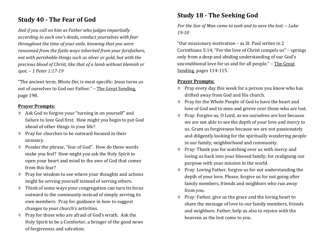### **Study 40 - The Fear of God**

*And if you call on him as Father who judges impartially according to each one's deeds, conduct yourselves with fear throughout the time of your exile, knowing that you were ransomed from the futile ways inherited from your forefathers, not with perishable things such as silver or gold, but with the precious blood of Christ, like that of a lamb without blemish or spot. – 1 Peter 1:17-19*

"The ancient term, *Missio Dei*, is most specific: Jesus turns us out of ourselves to God our Father." – The Great Sending, page 198.

#### **Prayer Prompts:**

- Ask God to forgive your "turning in on yourself" and failure to love God first. How might you begin to put God ahead of other things in your life?
- Pray for churches to be outward focused in their ministry.
- Ponder the phrase, "fear of God". How do these words make you feel? How might you ask the Holy Spirit to open your heart and mind to the awe of God that comes from this fear?
- $\uparrow$  Pray for wisdom to see where your thoughts and actions might be serving yourself instead of serving others.
- Think of some ways your congregation can turn its focus outward to the community instead of simply serving its own members. Pray for guidance in how to suggest changes to your church's activities.
- Pray for those who are afraid of God's wrath. Ask the Holy Spirit to be a Comforter, a bringer of the good news of forgiveness and salvation.

### **Study 18 - The Seeking God**

*For the Son of Man came to seek and to save the lost. – Luke 19:10* 

"Our missionary motivation – as St. Paul writes in 2 Corinthians 5:14, "For the love of Christ compels us" – springs only from a deep and abiding understanding of our God's unconditional love for us and for all people." – The Great Sending, pages 114-115.

- $\uparrow$  Pray every day this week for a person you know who has drifted away from God and His church.
- Pray for the Whole People of God to have the heart and love of God and to miss and grieve over those who are lost.
- Pray: Forgive us, O Lord, as we ourselves are lost because we are not able to see the depth of your love and mercy to us. Grant us forgiveness because we are not passionately and diligently looking for the spiritually wandering people in our family, neighborhood and community.
- Pray: Thank you for watching over us with mercy and loving us back into your blessed family; for realigning our purpose with your mission in the world.
- Pray: Loving Father, forgive us for not understanding the depth of your love. Please, forgive us for not going after family members, friends and neighbors who run away from you.
- Pray: Father, give us the grace and the loving heart to share the message of love to our family members, friends and neighbors. Father, help us also to rejoice with the heavens as the lost come to you.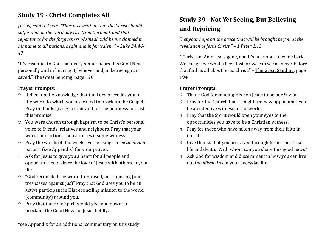### **Study 19 - Christ Completes All**

*(Jesus) said to them, "Thus it is written, that the Christ should suffer and on the third day rise from the dead, and that repentance for the forgiveness of sins should be proclaimed in his name to all nations, beginning in Jerusalem." – Luke 24:46- 47* 

"It's essential to God that every sinner hears this Good News personally and in hearing it, believes and, in believing it, is saved." The Great Sending, page 120.

#### **Prayer Prompts:**

- Reflect on the knowledge that the Lord precedes you in the world to which you are called to proclaim the Gospel. Pray in thanksgiving for this and for the boldness to trust this promise.
- You were chosen through baptism to be Christ's personal voice to friends, relatives and neighbors. Pray that your words and actions today are a winsome witness.
- Pray the words of this week's verse using the *lectio divina* pattern (see Appendix) for your prayer.
- Ask for Jesus to give you a heart for all people and opportunities to share the love of Jesus with others in your life.
- "God reconciled the world to Himself, not counting (our) trespasses against (us)" Pray that God uses you to be an active participant in His reconciling mission to the world (community) around you.
- Pray that the Holy Spirit would give you power to proclaim the Good News of Jesus boldly.

\*see Appendix for an additional commentary on this study

### **Study 39 - Not Yet Seeing, But Believing and Rejoicing**

*"Set your hope on the grace that will be brought to you at the revelation of Jesus Christ." – 1 Peter 1:13*

"'Christian' America is gone, and it's not about to come back. We can grieve what's been lost, or we can see as never before that faith is all about Jesus Christ." - The Great Sending, page 194.

- Thank God for sending His Son Jesus to be our Savior.
- Pray for the Church that it might see new opportunities to be an effective witness to the world.
- $\uparrow$  Pray that the Spirit would open your eyes to the opportunities you have to be a Christian witness.
- $\uparrow$  Pray for those who have fallen away from their faith in Christ.
- Give thanks that you are saved through Jesus' sacrificial life and death. With whom can you share this good news?
- Ask God for wisdom and discernment in how you can live out the *Missio Dei* in your everyday life.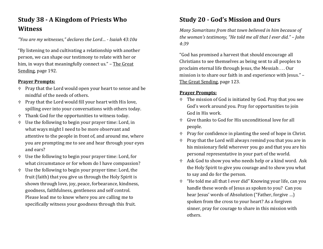### **Study 38 - A Kingdom of Priests Who Witness**

*"You are my witnesses," declares the Lord… - Isaiah 43:10a*

"By listening to and cultivating a relationship with another person, we can shape our testimony to relate with her or him, in ways that meaningfully connect us." – The Great Sending, page 192.

#### **Prayer Prompts:**

- $\oplus$  Pray that the Lord would open your heart to sense and be mindful of the needs of others.
- $\uparrow$  Pray that the Lord would fill your heart with His love, spilling over into your conversations with others today.
- Thank God for the opportunities to witness today.
- Use the following to begin your prayer time: Lord, in what ways might I need to be more observant and attentive to the people in front of, and around me, where you are prompting me to see and hear through your eyes and ears?
- Use the following to begin your prayer time: Lord, for what circumstance or for whom do I have compassion?
- Use the following to begin your prayer time: Lord, the fruit (faith) that you give us through the Holy Spirit is shown through love, joy, peace, forbearance, kindness, goodness, faithfulness, gentleness and self control. Please lead me to know where you are calling me to specifically witness your goodness through this fruit.

# **Study 20 - God's Mission and Ours**

*Many Samaritans from that town believed in him because of the woman's testimony, "He told me all that I ever did." – John 4:39* 

"God has promised a harvest that should encourage all Christians to see themselves as being sent to all peoples to proclaim eternal life through Jesus, the Messiah . . . Our mission is to share our faith in and experience with Jesus." – The Great Sending, page 123.

- The mission of God is initiated by God. Pray that you see God's work around you. Pray for opportunities to join God in His work.
- Give thanks to God for His unconditional love for all people.
- $P$  Pray for confidence in planting the seed of hope in Christ.
- Pray that the Lord will always remind you that you are in his missionary field wherever you go and that you are his personal representative in your part of the world.
- Ask God to show you who needs help or a kind word. Ask the Holy Spirit to give you courage and to show you what to say and do for the person.
- "He told me all that I ever did" Knowing your life, can you handle these words of Jesus as spoken to you? Can you hear Jesus' words of Absolution ("Father, forgive …) spoken from the cross to your heart? As a forgiven sinner, pray for courage to share in this mission with others.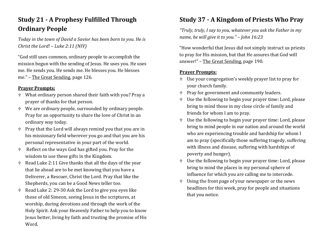# **Study 21 - A Prophesy Fulfilled Through Ordinary People**

*Today in the town of David a Savior has been born to you. He is Christ the Lord! – Luke 2:11 (NIV)* 

"God still uses common, ordinary people to accomplish the mission begun with the sending of Jesus. He uses you. He uses me. He sends you. He sends me. He blesses you. He blesses me." – The Great Sending, page 126.

#### **Prayer Prompts:**

- What ordinary person shared their faith with you? Pray a prayer of thanks for that person.
- We are ordinary people, surrounded by ordinary people. Pray for an opportunity to share the love of Christ in an ordinary way today.
- $\ddot{\phi}$  Pray that the Lord will always remind you that you are in his missionary field wherever you go and that you are his personal representative in your part of the world.
- Reflect on the ways God has gifted you. Pray for the wisdom to use these gifts in the Kingdom.
- $\theta$  Read Luke 2:11 Give thanks that all the days of the year that lie ahead are to be met knowing that you have a Deliverer, a Rescuer, Christ the Lord. Pray that like the Shepherds, you can be a Good News teller too.
- Read Luke 2: 29-30 Ask the Lord to give you eyes like those of old Simeon, seeing Jesus in the scriptures, at worship, during devotions and through the work of the Holy Spirit. Ask your Heavenly Father to help you to know Jesus better, living by faith and trusting the promise of His Word.

### **Study 37 - A Kingdom of Priests Who Pray**

*"Truly, truly, I say to you, whatever you ask the Father in my name, he will give it to you." – John 16:23*

"How wonderful that Jesus did not simply instruct us priests to pray for His mission, but that He assures that God will answer!" – The Great Sending, page 190.

- Use your congregation's weekly prayer list to pray for your church family.
- $P$  Pray for government and community leaders.
- Use the following to begin your prayer time: Lord, please bring to mind those in my close circle of family and friends for whom I am to pray.
- Use the following to begin your prayer time: Lord, please bring to mind people in our nation and around the world who are experiencing trouble and hardship for whom I am to pray (specifically those suffering tragedy, suffering with illness and disease, suffering with hardships of poverty and hunger).
- Use the following to begin your prayer time: Lord, please bring to mind the places in my personal sphere of influence for which you are calling me to intercede.
- Using the front page of your newspaper or the news headlines for this week, pray for people and situations that you notice.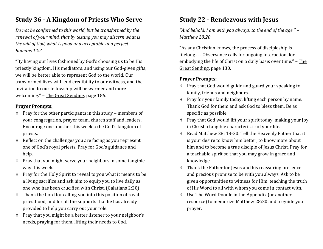### **Study 36 - A Kingdom of Priests Who Serve**

*Do not be conformed to this world, but be transformed by the renewal of your mind, that by testing you may discern what is the will of God, what is good and acceptable and perfect. – Romans 12:2*

"By having our lives fashioned by God's choosing us to be His priestly kingdom, His mediators, and using our God-given gifts, we will be better able to represent God to the world. Our transformed lives will lend credibility to our witness, and the invitation to our fellowship will be warmer and more welcoming." – The Great Sending, page 186.

#### **Prayer Prompts:**

- $\triangle$  Pray for the other participants in this study members of your congregation, prayer team, church staff and leaders. Encourage one another this week to be God's kingdom of priests.
- $\theta$  Reflect on the challenges you are facing as you represent one of God's royal priests. Pray for God's guidance and help.
- Pray that you might serve your neighbors in some tangible way this week.
- Pray for the Holy Spirit to reveal to you what it means to be a living sacrifice and ask him to equip you to live daily as one who has been crucified with Christ. (Galatians 2:20)
- Thank the Lord for calling you into this position of royal priesthood, and for all the supports that he has already provided to help you carry out your role.
- Pray that you might be a better listener to your neighbor's needs, praying for them, lifting their needs to God.

### **Study 22 - Rendezvous with Jesus**

*"And behold, I am with you always, to the end of the age." – Matthew 28:20* 

"As any Christian knows, the process of discipleship is lifelong . . . Observance calls for ongoing interaction, for embodying the life of Christ on a daily basis over time." - The Great Sending, page 130.

- $\uparrow$  Pray that God would guide and guard your speaking to family, friends and neighbors.
- $\uparrow$  Pray for your family today, lifting each person by name. Thank God for them and ask God to bless them. Be as specific as possible.
- $P$  Pray that God would lift your spirit today, making your joy in Christ a tangible characteristic of your life.
- Read Matthew 28: 18-20. Tell the Heavenly Father that it is your desire to know him better, to know more about him and to become a true disciple of Jesus Christ. Pray for a teachable spirit so that you may grow in grace and knowledge.
- Thank the Father for Jesus and his reassuring presence and precious promise to be with you always. Ask to be given opportunities to witness for Him, teaching the truth of His Word to all with whom you come in contact with.
- Use The Word Doodle in the Appendix (or another resource) to memorize Matthew 28:20 and to guide your prayer.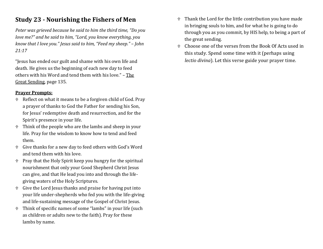### **Study 23 - Nourishing the Fishers of Men**

*Peter was grieved because he said to him the third time, "Do you love me?" and he said to him, "Lord, you know everything, you know that I love you." Jesus said to him, "Feed my sheep." – John 21:17* 

"Jesus has ended our guilt and shame with his own life and death. He gives us the beginning of each new day to feed others with his Word and tend them with his love." – The Great Sending, page 135.

- Reflect on what it means to be a forgiven child of God. Pray a prayer of thanks to God the Father for sending his Son, for Jesus' redemptive death and resurrection, and for the Spirit's presence in your life.
- Think of the people who are the lambs and sheep in your life. Pray for the wisdom to know how to tend and feed them.
- Give thanks for a new day to feed others with God's Word and tend them with his love.
- Pray that the Holy Spirit keep you hungry for the spiritual nourishment that only your Good Shepherd Christ Jesus can give, and that He lead you into and through the lifegiving waters of the Holy Scriptures.
- Give the Lord Jesus thanks and praise for having put into your life under-shepherds who fed you with the life-giving and life-sustaining message of the Gospel of Christ Jesus.
- Think of specific names of some "lambs" in your life (such as children or adults new to the faith). Pray for these lambs by name.
- Thank the Lord for the little contribution you have made in bringing souls to him, and for what he is going to do through you as you commit, by HIS help, to being a part of the great sending.
- Choose one of the verses from the Book Of Acts used in this study. Spend some time with it (perhaps using *lectio divina*). Let this verse guide your prayer time.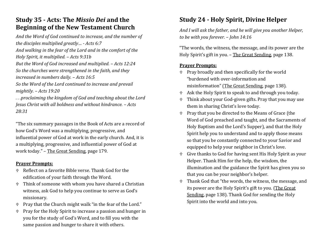### **Study 35 - Acts: The** *Missio Dei* **and the Beginning of the New Testament Church**

*And the Word of God continued to increase, and the number of the disciples multiplied greatly… - Acts 6:7 And walking in the fear of the Lord and in the comfort of the Holy Spirit, it multiplied. – Acts 9:31b But the Word of God increased and multiplied. – Acts 12:24 So the churches were strengthened in the faith, and they increased in numbers daily. – Acts 16:5 So the Word of the Lord continued to increase and prevail mightily. – Acts 19:20 . . .proclaiming the kingdom of God and teaching about the Lord* 

*Jesus Christ with all boldness and without hindrance. – Acts 28:31*

"The six summary passages in the Book of Acts are a record of how God's Word was a multiplying, progressive, and influential power of God at work in the early church. And, it is a multiplying, progressive, and influential power of God at work today." – The Great Sending, page 179.

#### **Prayer Prompts:**

- Reflect on a favorite Bible verse. Thank God for the edification of your faith through the Word.
- Think of someone with whom you have shared a Christian witness, ask God to help you continue to serve as God's missionary.
- $\uparrow$  Pray that the Church might walk "in the fear of the Lord."
- $\uparrow$  Pray for the Holy Spirit to increase a passion and hunger in you for the study of God's Word, and to fill you with the same passion and hunger to share it with others.

# **Study 24 - Holy Spirit, Divine Helper**

*And I will ask the father, and he will give you another Helper, to be with you forever. – John 14:16* 

"The words, the witness, the message, and its power are the Holy Spirit's gift in you. - The Great Sending, page 138.

- Pray broadly and then specifically for the world "burdened with over-information and misinformation" (The Great Sending, page 138).
- Ask the Holy Spirit to speak to and through you today.
- Think about your God-given gifts. Pray that you may use them in sharing Christ's love today.
- Pray that you be directed to the Means of Grace (the Word of God preached and taught, and the Sacraments of Holy Baptism and the Lord's Supper), and that the Holy Spirit help you to understand and to apply those means so that you be constantly connected to your Savior and equipped to help your neighbor in Christ's love.
- Give thanks to God for having sent His Holy Spirit as your Helper. Thank Him for the help, the wisdom, the illumination and the guidance the Spirit has given you so that you can be your neighbor's helper.
- Thank God that "the words, the witness, the message, and its power are the Holy Spirit's gift to you. (The Great Sending, page 138). Thank God for sending the Holy Spirit into the world and into you.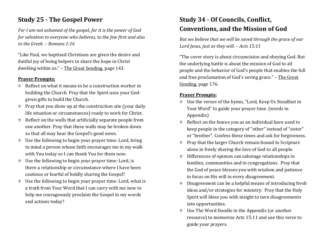### **Study 25 - The Gospel Power**

*For I am not ashamed of the gospel, for it is the power of God for salvation to everyone who believes, to the Jew first and also to the Greek. – Romans 1:16*

"Like Paul, we baptized Christians are given the desire and dutiful joy of being helpers to share the hope in Christ dwelling within us." – The Great Sending, page 143.

#### **Prayer Prompts:**

- Reflect on what it means to be a construction worker in building the Church. Pray that the Spirit uses your Godgiven gifts to build the Church.
- $\ddot{\phi}$  Pray that you show up at the construction site (your daily life situation or circumstances) ready to work for Christ.
- Reflect on the walls that artificially separate people from one another. Pray that these walls may be broken down so that all may hear the Gospel's good news.
- Use the following to begin your prayer time: Lord, bring to mind a person whose faith encourages me in my walk with You today so I can thank You for them now.
- Use the following to begin your prayer time: Lord, is there a relationship or circumstance where I have been cautious or fearful of boldly sharing the Gospel?
- Use the following to begin your prayer time: Lord, what is a truth from Your Word that I can carry with me now to help me courageously proclaim the Gospel in my words and actions today?

## **Study 34 - Of Councils, Conflict, Conventions, and the Mission of God**

*But we believe that we will be saved through the grace of our Lord Jesus, just as they will. – Acts 15:11*

"The cover story is about circumcision and obeying God. But the underlying battle is about the mission of God to all people and the behavior of God's people that enables the full and free proclamation of God's saving grace." – The Great Sending, page 176.

- Use the verses of the hymn, "Lord, Keep Us Steadfast in Your Word" to guide your prayer time. (words in Appendix)
- $\triangle$  Reflect on the fences you as an individual have used to keep people in the category of "other" instead of "sister" or "brother". Confess these times and ask for forgiveness.
- $\uparrow$  Pray that the larger Church remain bound to Scripture alone in freely sharing the love of God to all people.
- Differences of opinion can sabotage relationships in families, communities and in congregations. Pray that the God of peace blesses you with wisdom and patience to focus on His will in every disagreement.
- Disagreement can be a helpful means of introducing fresh ideas and/or strategies for ministry. Pray that the Holy Spirit will bless you with insight to turn disagreements into opportunities.
- Use The Word Doodle in the Appendix (or another resource) to memorize Acts 15:11 and use this verse to guide your prayers.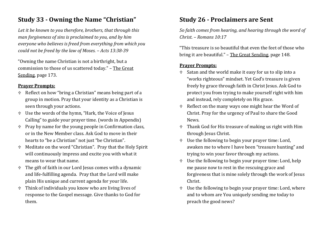### **Study 33 - Owning the Name "Christian"**

*Let it be known to you therefore, brothers, that through this man forgiveness of sins is proclaimed to you, and by him everyone who believes is freed from everything from which you could not be freed by the law of Moses. – Acts 13:38-39*

"Owning the name Christian is not a birthright, but a commission to those of us scattered today." – The Great Sending, page 173.

#### **Prayer Prompts:**

- Reflect on how "bring a Christian" means being part of a group in motion. Pray that your identity as a Christian is seen through your actions.
- Use the words of the hymn, "Hark, the Voice of Jesus Calling" to guide your prayer time. (words in Appendix)
- $\uparrow$  Pray by name for the young people in Confirmation class, or in the New Member class. Ask God to move in their hearts to "be a Christian" not just "be Christian".
- Meditate on the word "Christian". Pray that the Holy Spirit will continuously impress and excite you with what it means to wear that name.
- The gift of faith in our Lord Jesus comes with a dynamic and life-fulfilling agenda. Pray that the Lord will make plain His unique and current agenda for your life.
- Think of individuals you know who are living lives of response to the Gospel message. Give thanks to God for them.

### **Study 26 - Proclaimers are Sent**

*So faith comes from hearing, and hearing through the word of Christ. – Romans 10:17*

"This treasure is so beautiful that even the feet of those who bring it are beautiful." - The Great Sending, page 148.

- Satan and the world make it easy for us to slip into a "works righteous" mindset. Yet God's treasure is given freely by grace through faith in Christ Jesus. Ask God to protect you from trying to make yourself right with him and instead, rely completely on His grace.
- Reflect on the many ways one might hear the Word of Christ. Pray for the urgency of Paul to share the Good News.
- Thank God for His treasure of making us right with Him through Jesus Christ.
- Use the following to begin your prayer time: Lord, awaken me to where I have been "treasure hunting" and trying to win your favor through my actions.
- Use the following to begin your prayer time: Lord, help me pause now to rest in the rescuing grace and forgiveness that is mine solely through the work of Jesus Christ.
- Use the following to begin your prayer time: Lord, where and to whom are You uniquely sending me today to preach the good news?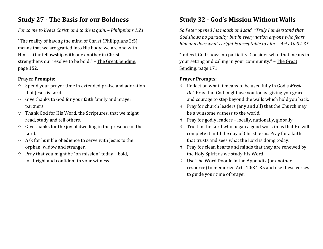### **Study 27 - The Basis for our Boldness**

#### *For to me to live is Christ, and to die is gain. – Philippians 1:21*

"The reality of having the mind of Christ (Philippians 2:5) means that we are grafted into His body; we are one with Him . . .Our fellowship with one another in Christ strengthens our resolve to be bold." – The Great Sending, page 152.

#### **Prayer Prompts:**

- Spend your prayer time in extended praise and adoration that Jesus is Lord.
- Give thanks to God for your faith family and prayer partners.
- Thank God for His Word, the Scriptures, that we might read, study and tell others.
- $\ddot{\phi}$  Give thanks for the joy of dwelling in the presence of the Lord.
- Ask for humble obedience to serve with Jesus to the orphan, widow and stranger.
- $\uparrow$  Pray that you might be "on mission" today bold, forthright and confident in your witness.

### **Study 32 - God's Mission Without Walls**

*So Peter opened his mouth and said: "Truly I understand that God shows no partiality, but in every nation anyone who fears him and does what is right is acceptable to him. – Acts 10:34-35*

"Indeed, God shows no partiality. Consider what that means in your setting and calling in your community." – The Great Sending, page 171.

- Reflect on what it means to be used fully in God's *Missio Dei*. Pray that God might use you today, giving you grace and courage to step beyond the walls which hold you back.
- Pray for church leaders (any and all) that the Church may be a winsome witness to the world.
- Pray for godly leaders locally, nationally, globally.
- Trust in the Lord who began a good work in us that He will complete it until the day of Christ Jesus. Pray for a faith that trusts and sees what the Lord is doing today.
- $\uparrow$  Pray for clean hearts and minds that they are renewed by the Holy Spirit as we study His Word.
- Use The Word Doodle in the Appendix (or another resource) to memorize Acts 10:34-35 and use these verses to guide your time of prayer.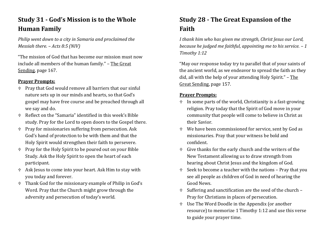### **Study 31 - God's Mission is to the Whole Human Family**

*Philip went down to a city in Samaria and proclaimed the Messiah there. – Acts 8:5 (NIV)*

"The mission of God that has become our mission must now include all members of the human family." – The Great Sending, page 167.

#### **Prayer Prompts:**

- Pray that God would remove all barriers that our sinful nature sets up in our minds and hearts, so that God's gospel may have free course and be preached through all we say and do.
- Reflect on the "Samaria" identified in this week's Bible study. Pray for the Lord to open doors to the Gospel there.
- $\Uparrow$  Pray for missionaries suffering from persecution. Ask God's hand of protection to be with them and that the Holy Spirit would strengthen their faith to persevere.
- Pray for the Holy Spirit to be poured out on your Bible Study. Ask the Holy Spirit to open the heart of each participant.
- Ask Jesus to come into your heart. Ask Him to stay with you today and forever.
- Thank God for the missionary example of Philip in God's Word. Pray that the Church might grow through the adversity and persecution of today's world.

# **Study 28 - The Great Expansion of the Faith**

*I thank him who has given me strength, Christ Jesus our Lord, because he judged me faithful, appointing me to his service. – 1 Timothy 1:12* 

"May our response today try to parallel that of your saints of the ancient world, as we endeavor to spread the faith as they did, all with the help of your attending Holy Spirit." - The Great Sending, page 157.

- $\ddot{\tau}$  In some parts of the world, Christianity is a fast-growing religion. Pray today that the Spirit of God move in your community that people will come to believe in Christ as their Savior.
- We have been commissioned for service, sent by God as missionaries. Pray that your witness be bold and confident.
- Give thanks for the early church and the writers of the New Testament allowing us to draw strength from hearing about Christ Jesus and the kingdom of God.
- Seek to become a teacher with the nations Pray that you see all people as children of God in need of hearing the Good News.
- Suffering and sanctification are the seed of the church Pray for Christians in places of persecution.
- Use The Word Doodle in the Appendix (or another resource) to memorize 1 Timothy 1:12 and use this verse to guide your prayer time.